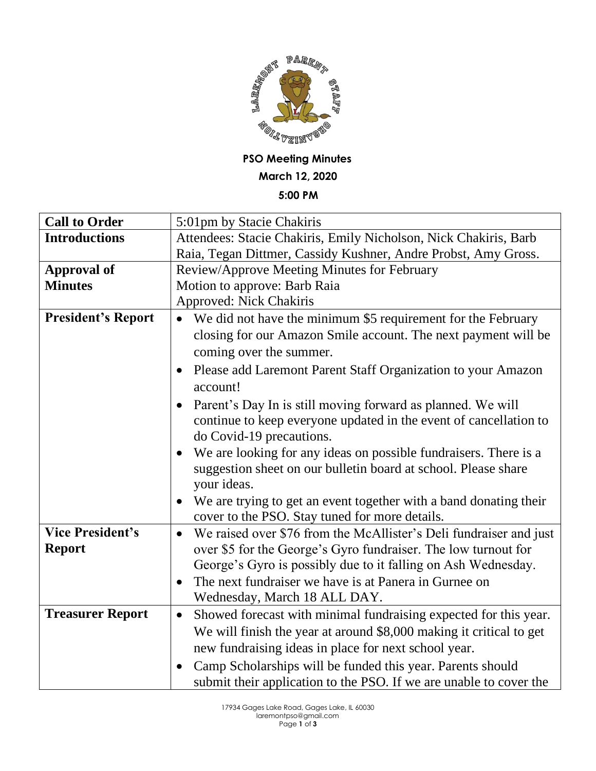

**PSO Meeting Minutes March 12, 2020**

**5:00 PM**

| <b>Call to Order</b>      | 5:01pm by Stacie Chakiris                                                       |
|---------------------------|---------------------------------------------------------------------------------|
| <b>Introductions</b>      | Attendees: Stacie Chakiris, Emily Nicholson, Nick Chakiris, Barb                |
|                           | Raia, Tegan Dittmer, Cassidy Kushner, Andre Probst, Amy Gross.                  |
| <b>Approval of</b>        | Review/Approve Meeting Minutes for February                                     |
| <b>Minutes</b>            | Motion to approve: Barb Raia                                                    |
|                           | Approved: Nick Chakiris                                                         |
| <b>President's Report</b> | We did not have the minimum \$5 requirement for the February                    |
|                           | closing for our Amazon Smile account. The next payment will be                  |
|                           | coming over the summer.                                                         |
|                           | Please add Laremont Parent Staff Organization to your Amazon<br>$\bullet$       |
|                           | account!                                                                        |
|                           | Parent's Day In is still moving forward as planned. We will                     |
|                           | continue to keep everyone updated in the event of cancellation to               |
|                           | do Covid-19 precautions.                                                        |
|                           | We are looking for any ideas on possible fundraisers. There is a<br>$\bullet$   |
|                           | suggestion sheet on our bulletin board at school. Please share                  |
|                           | your ideas.                                                                     |
|                           | We are trying to get an event together with a band donating their               |
|                           | cover to the PSO. Stay tuned for more details.                                  |
| <b>Vice President's</b>   | We raised over \$76 from the McAllister's Deli fundraiser and just<br>$\bullet$ |
| <b>Report</b>             | over \$5 for the George's Gyro fundraiser. The low turnout for                  |
|                           | George's Gyro is possibly due to it falling on Ash Wednesday.                   |
|                           | The next fundraiser we have is at Panera in Gurnee on<br>$\bullet$              |
|                           | Wednesday, March 18 ALL DAY.                                                    |
| <b>Treasurer Report</b>   | Showed forecast with minimal fundraising expected for this year.<br>$\bullet$   |
|                           | We will finish the year at around \$8,000 making it critical to get             |
|                           | new fundraising ideas in place for next school year.                            |
|                           | Camp Scholarships will be funded this year. Parents should                      |
|                           | submit their application to the PSO. If we are unable to cover the              |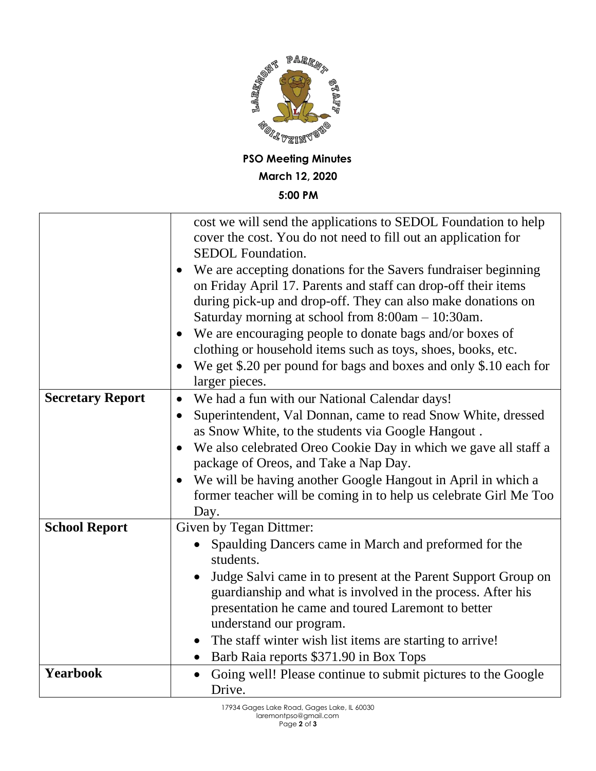

## **5:00 PM**

|                         | cost we will send the applications to SEDOL Foundation to help<br>cover the cost. You do not need to fill out an application for<br><b>SEDOL</b> Foundation.<br>We are accepting donations for the Savers fundraiser beginning |
|-------------------------|--------------------------------------------------------------------------------------------------------------------------------------------------------------------------------------------------------------------------------|
|                         | on Friday April 17. Parents and staff can drop-off their items<br>during pick-up and drop-off. They can also make donations on<br>Saturday morning at school from 8:00am - 10:30am.                                            |
|                         | We are encouraging people to donate bags and/or boxes of<br>$\bullet$                                                                                                                                                          |
|                         | clothing or household items such as toys, shoes, books, etc.                                                                                                                                                                   |
|                         | We get \$.20 per pound for bags and boxes and only \$.10 each for<br>$\bullet$<br>larger pieces.                                                                                                                               |
| <b>Secretary Report</b> | We had a fun with our National Calendar days!<br>$\bullet$                                                                                                                                                                     |
|                         | Superintendent, Val Donnan, came to read Snow White, dressed<br>$\bullet$                                                                                                                                                      |
|                         | as Snow White, to the students via Google Hangout.                                                                                                                                                                             |
|                         | We also celebrated Oreo Cookie Day in which we gave all staff a<br>$\bullet$                                                                                                                                                   |
|                         | package of Oreos, and Take a Nap Day.                                                                                                                                                                                          |
|                         | We will be having another Google Hangout in April in which a<br>$\bullet$                                                                                                                                                      |
|                         | former teacher will be coming in to help us celebrate Girl Me Too                                                                                                                                                              |
| <b>School Report</b>    | Day.<br>Given by Tegan Dittmer:                                                                                                                                                                                                |
|                         | Spaulding Dancers came in March and preformed for the                                                                                                                                                                          |
|                         | students.                                                                                                                                                                                                                      |
|                         | Judge Salvi came in to present at the Parent Support Group on<br>guardianship and what is involved in the process. After his                                                                                                   |
|                         | presentation he came and toured Laremont to better                                                                                                                                                                             |
|                         | understand our program.                                                                                                                                                                                                        |
|                         | The staff winter wish list items are starting to arrive!                                                                                                                                                                       |
|                         | Barb Raia reports \$371.90 in Box Tops<br>$\bullet$                                                                                                                                                                            |
| <b>Yearbook</b>         | Going well! Please continue to submit pictures to the Google<br>$\bullet$                                                                                                                                                      |
|                         | Drive.                                                                                                                                                                                                                         |